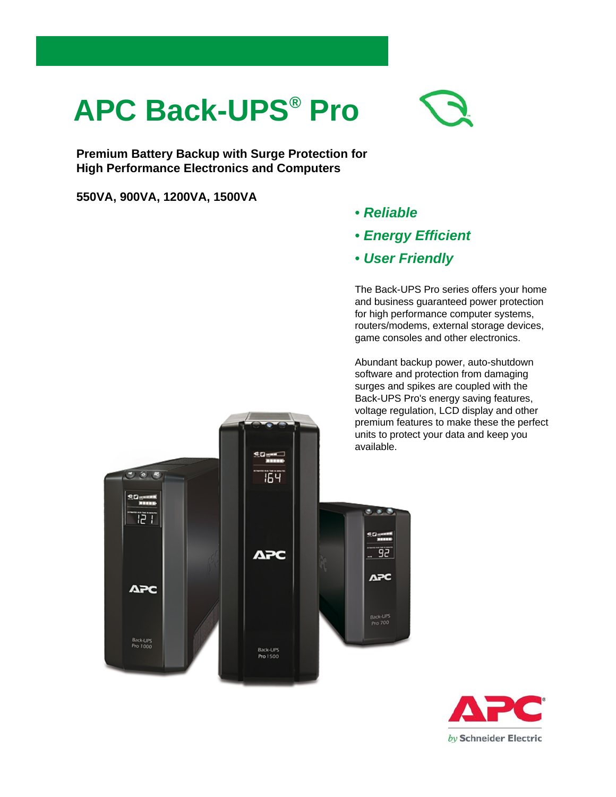## **APC Back-UPS® Pro**

**Premium Battery Backup with Surge Protection for High Performance Electronics and Computers**

**550VA, 900VA, 1200VA, 1500VA**

- *Reliable*
- *Energy Efficient*
- *User Friendly*

The Back-UPS Pro series offers your home and business guaranteed power protection for high performance computer systems, routers/modems, external storage devices, game consoles and other electronics.

Abundant backup power, auto-shutdown software and protection from damaging surges and spikes are coupled with the Back-UPS Pro's energy saving features, voltage regulation, LCD display and other premium features to make these the perfect units to protect your data and keep you



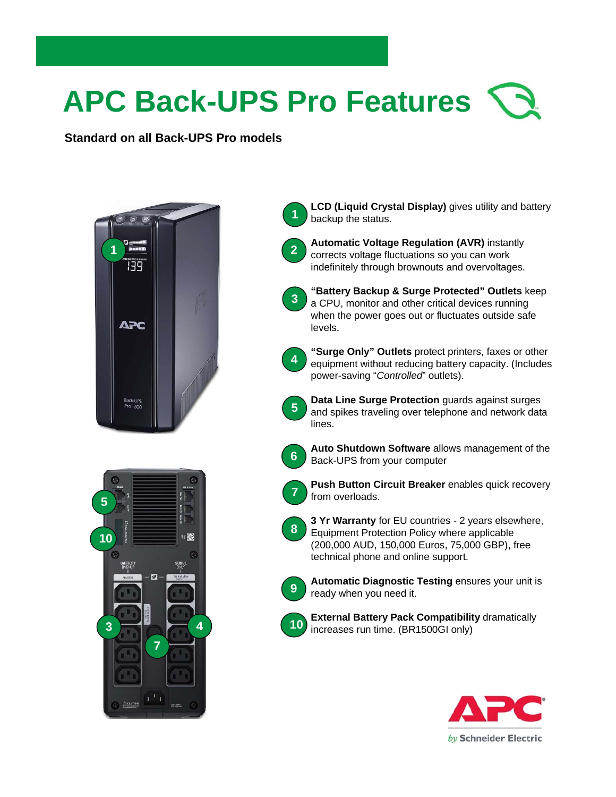# **APC Back-UPS Pro Features**

**2**

**3**

**4**

**5**

**Standard on all Back-UPS Pro models**





**LCD (Liquid Crystal Display)** gives utility and battery backup the status. **1**

**Automatic Voltage Regulation (AVR)** instantly corrects voltage fluctuations so you can work indefinitely through brownouts and overvoltages.



**"Surge Only" Outlets** protect printers, faxes or other equipment without reducing battery capacity. (Includes power-saving "*Controlled*" outlets).

**Data Line Surge Protection** guards against surges and spikes traveling over telephone and network data lines.



**Auto Shutdown Software** allows management of the Back-UPS from your computer



**Push Button Circuit Breaker** enables quick recovery from overloads.





**Automatic Diagnostic Testing** ensures your unit is ready when you need it.



**External Battery Pack Compatibility** dramatically increases run time. (BR1500GI only)

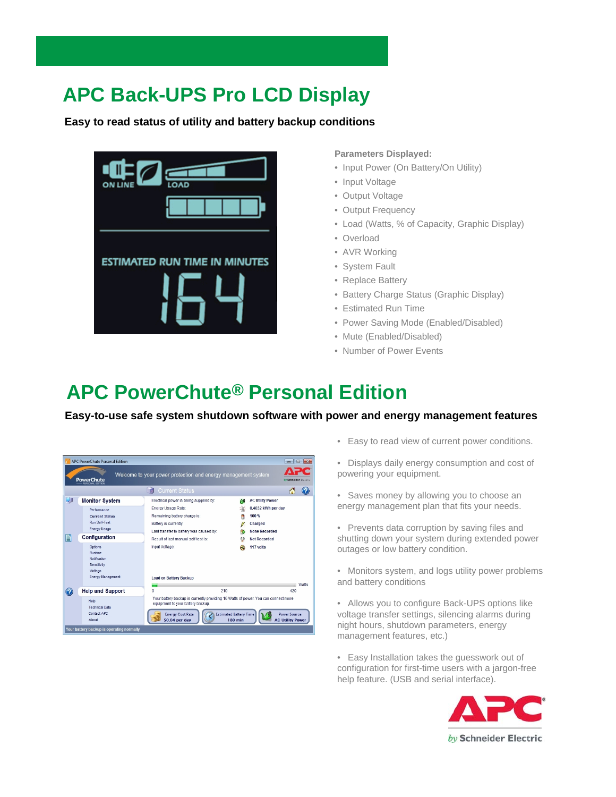### **APC Back-UPS Pro LCD Display**

**Easy to read status of utility and battery backup conditions**



**Parameters Displayed:**

- Input Power (On Battery/On Utility)
- Input Voltage
- Output Voltage
- Output Frequency
- Load (Watts, % of Capacity, Graphic Display)
- Overload
- AVR Working
- System Fault
- Replace Battery
- Battery Charge Status (Graphic Display)
- Estimated Run Time
- Power Saving Mode (Enabled/Disabled)
- Mute (Enabled/Disabled)
- Number of Power Events

#### **APC PowerChute® Personal Edition**

**Easy-to-use safe system shutdown software with power and energy management features**



- Easy to read view of current power conditions.
- Displays daily energy consumption and cost of powering your equipment.
- Saves money by allowing you to choose an energy management plan that fits your needs.
- Prevents data corruption by saving files and shutting down your system during extended power outages or low battery condition.
- Monitors system, and logs utility power problems and battery conditions
- Allows you to configure Back-UPS options like voltage transfer settings, silencing alarms during night hours, shutdown parameters, energy management features, etc.)
- Easy Installation takes the guesswork out of configuration for first-time users with a jargon-free help feature. (USB and serial interface).